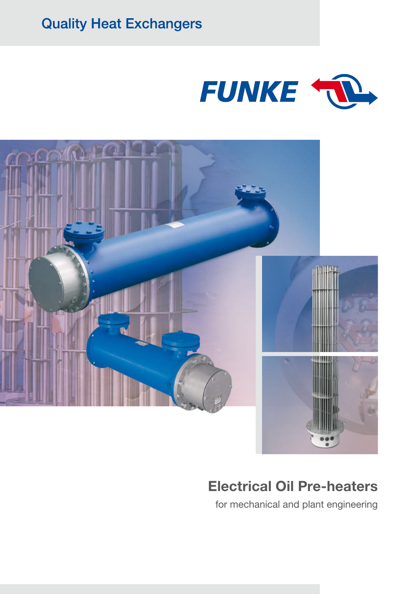**Quality Heat Exchangers** 





# Electrical Oil Pre-heaters

for mechanical and plant engineering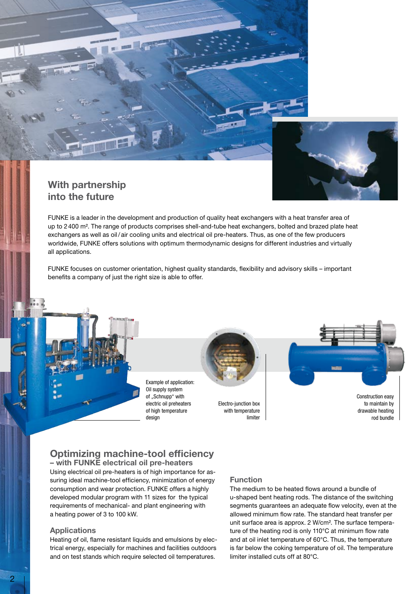

### With partnership into the future

FUNKE is a leader in the development and production of quality heat exchangers with a heat transfer area of up to 2 400 m². The range of products comprises shell-and-tube heat exchangers, bolted and brazed plate heat exchangers as well as oil/ air cooling units and electrical oil pre-heaters. Thus, as one of the few producers worldwide, FUNKE offers solutions with optimum thermodynamic designs for different industries and virtually all applications.

FUNKE focuses on customer orientation, highest quality standards, flexibility and advisory skills – important benefits a company of just the right size is able to offer.

> Example of application: Oil supply system of ..Schnupp" with electric oil preheaters of high temperature design

Electro-junction box with temperature limiter Construction easy to maintain by drawable heating rod bundle

## Optimizing machine-tool efficiency

– with FUNKE electrical oil pre-heaters Using electrical oil pre-heaters is of high importance for assuring ideal machine-tool efficiency, minimization of energy consumption and wear protection. FUNKE offers a highly developed modular program with 11 sizes for the typical requirements of mechanical- and plant engineering with a heating power of 3 to 100 kW.

#### **Applications**

Heating of oil, flame resistant liquids and emulsions by electrical energy, especially for machines and facilities outdoors and on test stands which require selected oil temperatures.

#### Function

The medium to be heated flows around a bundle of u-shaped bent heating rods. The distance of the switching segments guarantees an adequate flow velocity, even at the allowed minimum flow rate. The standard heat transfer per unit surface area is approx. 2 W/cm². The surface temperature of the heating rod is only 110°C at minimum flow rate and at oil inlet temperature of 60°C. Thus, the temperature is far below the coking temperature of oil. The temperature limiter installed cuts off at 80°C.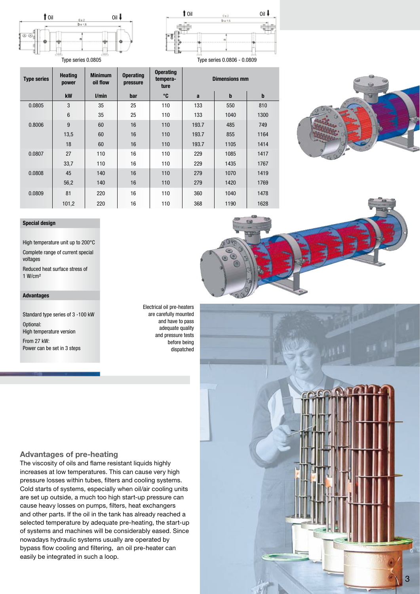

÷.



|  | <b>Type series</b> | <b>Heating</b><br>power | <b>Minimum</b><br>oil flow | <b>Operating</b><br>pressure | <b>Operating</b><br>tempera-<br>ture | <b>Dimensions mm</b> |      |             |
|--|--------------------|-------------------------|----------------------------|------------------------------|--------------------------------------|----------------------|------|-------------|
|  |                    | kW                      | l/min                      | bar                          | ℃                                    | a                    | b    | $\mathbf b$ |
|  | 0.0805             | 3                       | 35                         | 25                           | 110                                  | 133                  | 550  | 810         |
|  |                    | $6\phantom{1}6$         | 35                         | 25                           | 110                                  | 133                  | 1040 | 1300        |
|  | 0.8006             | 9                       | 60                         | 16                           | 110                                  | 193.7                | 485  | 749         |
|  |                    | 13,5                    | 60                         | 16                           | 110                                  | 193.7                | 855  | 1164        |
|  |                    | 18                      | 60                         | 16                           | 110                                  | 193.7                | 1105 | 1414        |
|  | 0.0807             | 27                      | 110                        | 16                           | 110                                  | 229                  | 1085 | 1417        |
|  |                    | 33,7                    | 110                        | 16                           | 110                                  | 229                  | 1435 | 1767        |
|  | 0.0808             | 45                      | 140                        | 16                           | 110                                  | 279                  | 1070 | 1419        |
|  |                    | 56,2                    | 140                        | 16                           | 110                                  | 279                  | 1420 | 1769        |
|  | 0.0809             | 81                      | 220                        | 16                           | 110                                  | 360                  | 1040 | 1478        |
|  |                    | 101,2                   | 220                        | 16                           | 110                                  | 368                  | 1190 | 1628        |





High temperature unit up to 200°C Complete range of current special voltages Reduced heat surface stress of 1 W/cm²

#### **Advantages**

Standard type series of 3 -100 kW Optional: High temperature version From 27 kW: Power can be set in 3 steps

Electrical oil pre-heaters are carefully mounted and have to pass adequate quality and pressure tests before being dispatched

#### Advantages of pre-heating

The viscosity of oils and flame resistant liquids highly increases at low temperatures. This can cause very high pressure losses within tubes, filters and cooling systems. Cold starts of systems, especially when oil/air cooling units are set up outside, a much too high start-up pressure can cause heavy losses on pumps, filters, heat exchangers and other parts. If the oil in the tank has already reached a selected temperature by adequate pre-heating, the start-up of systems and machines will be considerably eased. Since nowadays hydraulic systems usually are operated by bypass flow cooling and filtering, an oil pre-heater can easily be integrated in such a loop.